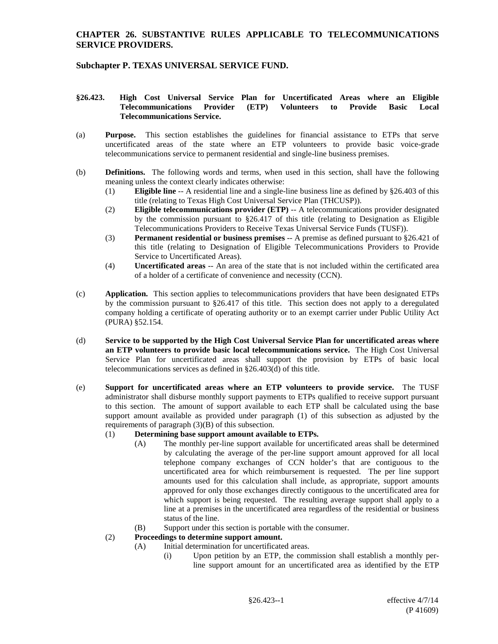# **CHAPTER 26. SUBSTANTIVE RULES APPLICABLE TO TELECOMMUNICATIONS SERVICE PROVIDERS.**

# **Subchapter P. TEXAS UNIVERSAL SERVICE FUND.**

#### **§26.423. High Cost Universal Service Plan for Uncertificated Areas where an Eligible Telecommunications Provider (ETP) Volunteers to Provide Basic Local Telecommunications Service.**

- (a) **Purpose.** This section establishes the guidelines for financial assistance to ETPs that serve uncertificated areas of the state where an ETP volunteers to provide basic voice-grade telecommunications service to permanent residential and single-line business premises.
- (b) **Definitions.** The following words and terms, when used in this section, shall have the following meaning unless the context clearly indicates otherwise:
	- (1) **Eligible line** -- A residential line and a single-line business line as defined by §26.403 of this title (relating to Texas High Cost Universal Service Plan (THCUSP)).
	- (2) **Eligible telecommunications provider (ETP)** -- A telecommunications provider designated by the commission pursuant to §26.417 of this title (relating to Designation as Eligible Telecommunications Providers to Receive Texas Universal Service Funds (TUSF)).
	- (3) **Permanent residential or business premises** -- A premise as defined pursuant to §26.421 of this title (relating to Designation of Eligible Telecommunications Providers to Provide Service to Uncertificated Areas).
	- (4) **Uncertificated areas** -- An area of the state that is not included within the certificated area of a holder of a certificate of convenience and necessity (CCN).
- (c) **Application.** This section applies to telecommunications providers that have been designated ETPs by the commission pursuant to §26.417 of this title. This section does not apply to a deregulated company holding a certificate of operating authority or to an exempt carrier under Public Utility Act (PURA) §52.154.
- (d) **Service to be supported by the High Cost Universal Service Plan for uncertificated areas where an ETP volunteers to provide basic local telecommunications service.** The High Cost Universal Service Plan for uncertificated areas shall support the provision by ETPs of basic local telecommunications services as defined in §26.403(d) of this title.
- (e) **Support for uncertificated areas where an ETP volunteers to provide service.** The TUSF administrator shall disburse monthly support payments to ETPs qualified to receive support pursuant to this section. The amount of support available to each ETP shall be calculated using the base support amount available as provided under paragraph (1) of this subsection as adjusted by the requirements of paragraph (3)(B) of this subsection.

### (1) **Determining base support amount available to ETPs.**

- (A) The monthly per-line support available for uncertificated areas shall be determined by calculating the average of the per-line support amount approved for all local telephone company exchanges of CCN holder's that are contiguous to the uncertificated area for which reimbursement is requested. The per line support amounts used for this calculation shall include, as appropriate, support amounts approved for only those exchanges directly contiguous to the uncertificated area for which support is being requested. The resulting average support shall apply to a line at a premises in the uncertificated area regardless of the residential or business status of the line.
- (B) Support under this section is portable with the consumer.
- (2) **Proceedings to determine support amount.**
	- (A) Initial determination for uncertificated areas.
		- (i) Upon petition by an ETP, the commission shall establish a monthly perline support amount for an uncertificated area as identified by the ETP